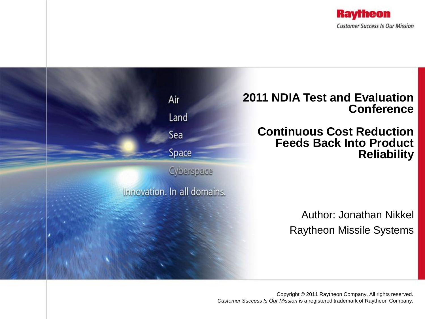

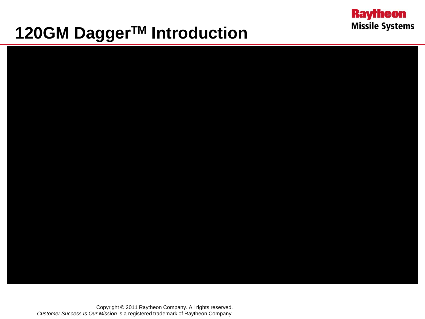## **120GM DaggerTM Introduction**



**Raytheon** 

**Missile Systems**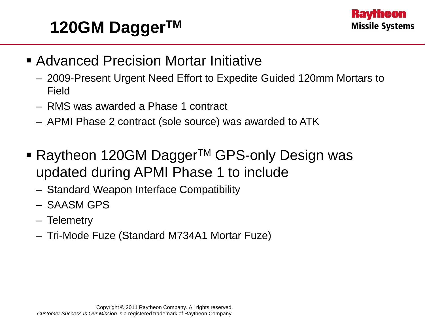## **120GM DaggerTM**



- Advanced Precision Mortar Initiative
	- 2009-Present Urgent Need Effort to Expedite Guided 120mm Mortars to Field
	- RMS was awarded a Phase 1 contract
	- APMI Phase 2 contract (sole source) was awarded to ATK
- Raytheon 120GM Dagger<sup>TM</sup> GPS-only Design was updated during APMI Phase 1 to include
	- Standard Weapon Interface Compatibility
	- SAASM GPS
	- Telemetry
	- Tri-Mode Fuze (Standard M734A1 Mortar Fuze)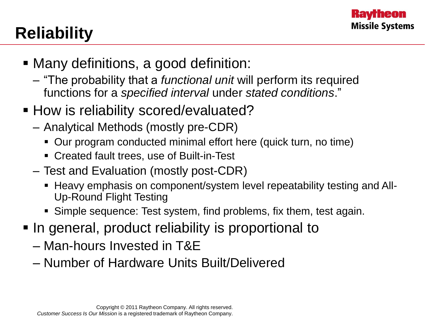

# **Reliability**

- Many definitions, a good definition:
	- "The probability that a *functional unit* will perform its required functions for a *specified interval* under *stated conditions*."
- **How is reliability scored/evaluated?** 
	- Analytical Methods (mostly pre-CDR)
		- Our program conducted minimal effort here (quick turn, no time)
		- Created fault trees, use of Built-in-Test
	- Test and Evaluation (mostly post-CDR)
		- Heavy emphasis on component/system level repeatability testing and All-Up-Round Flight Testing
		- Simple sequence: Test system, find problems, fix them, test again.
- In general, product reliability is proportional to
	- Man-hours Invested in T&E
	- Number of Hardware Units Built/Delivered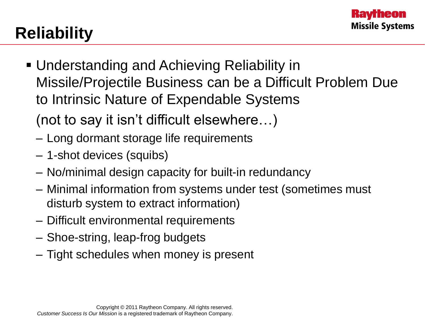# **Reliability**

- Understanding and Achieving Reliability in Missile/Projectile Business can be a Difficult Problem Due to Intrinsic Nature of Expendable Systems
	- (not to say it isn't difficult elsewhere…)
	- Long dormant storage life requirements
	- 1-shot devices (squibs)
	- No/minimal design capacity for built-in redundancy
	- Minimal information from systems under test (sometimes must disturb system to extract information)
	- Difficult environmental requirements
	- Shoe-string, leap-frog budgets
	- Tight schedules when money is present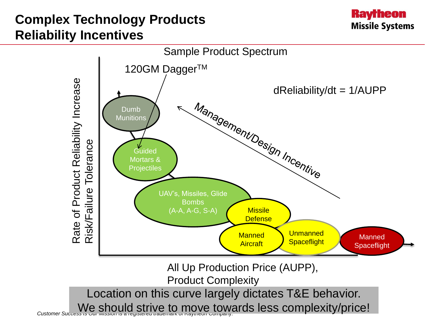#### **Complex Technology Products Reliability Incentives**



**Raytheon** 

**Missile Systems**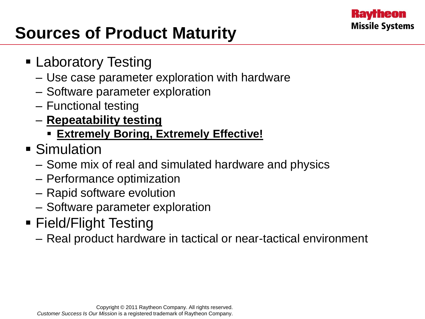

## **Sources of Product Maturity**

- Laboratory Testing
	- Use case parameter exploration with hardware
	- Software parameter exploration
	- Functional testing
	- **Repeatability testing** 
		- **Extremely Boring, Extremely Effective!**
- **Simulation** 
	- Some mix of real and simulated hardware and physics
	- Performance optimization
	- Rapid software evolution
	- Software parameter exploration
- Field/Flight Testing
	- Real product hardware in tactical or near-tactical environment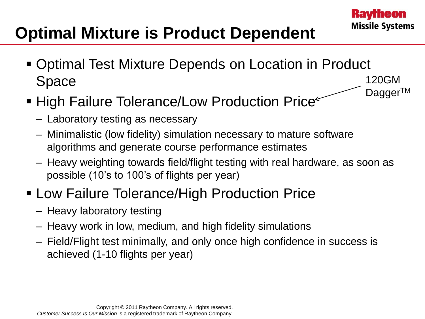## **Optimal Mixture is Product Dependent**

- Optimal Test Mixture Depends on Location in Product Space 120GM Dagger™
- High Failure Tolerance/Low Production Price
	- Laboratory testing as necessary
	- Minimalistic (low fidelity) simulation necessary to mature software algorithms and generate course performance estimates
	- Heavy weighting towards field/flight testing with real hardware, as soon as possible (10's to 100's of flights per year)
- Low Failure Tolerance/High Production Price
	- Heavy laboratory testing
	- Heavy work in low, medium, and high fidelity simulations
	- Field/Flight test minimally, and only once high confidence in success is achieved (1-10 flights per year)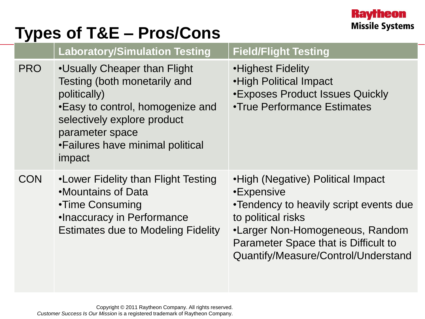## **Types of T&E – Pros/Cons**

|            | <b>Laboratory/Simulation Testing</b>                                                                                                                                                                             | <b>Field/Flight Testing</b>                                                                                                                                                                                                       |
|------------|------------------------------------------------------------------------------------------------------------------------------------------------------------------------------------------------------------------|-----------------------------------------------------------------------------------------------------------------------------------------------------------------------------------------------------------------------------------|
| <b>PRO</b> | •Usually Cheaper than Flight<br>Testing (both monetarily and<br>politically)<br>•Easy to control, homogenize and<br>selectively explore product<br>parameter space<br>•Failures have minimal political<br>impact | •Highest Fidelity<br>•High Political Impact<br><b>.Exposes Product Issues Quickly</b><br><b>•True Performance Estimates</b>                                                                                                       |
| <b>CON</b> | •Lower Fidelity than Flight Testing<br>•Mountains of Data<br>•Time Consuming<br>•Inaccuracy in Performance<br><b>Estimates due to Modeling Fidelity</b>                                                          | •High (Negative) Political Impact<br>•Expensive<br>•Tendency to heavily script events due<br>to political risks<br>•Larger Non-Homogeneous, Random<br>Parameter Space that is Difficult to<br>Quantify/Measure/Control/Understand |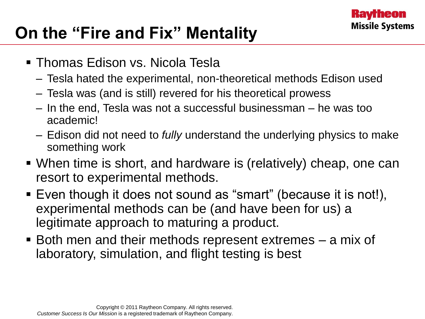

## **On the "Fire and Fix" Mentality**

- Thomas Edison vs. Nicola Tesla
	- Tesla hated the experimental, non-theoretical methods Edison used
	- Tesla was (and is still) revered for his theoretical prowess
	- In the end, Tesla was not a successful businessman he was too academic!
	- Edison did not need to *fully* understand the underlying physics to make something work
- When time is short, and hardware is (relatively) cheap, one can resort to experimental methods.
- Even though it does not sound as "smart" (because it is not!), experimental methods can be (and have been for us) a legitimate approach to maturing a product.
- Both men and their methods represent extremes a mix of laboratory, simulation, and flight testing is best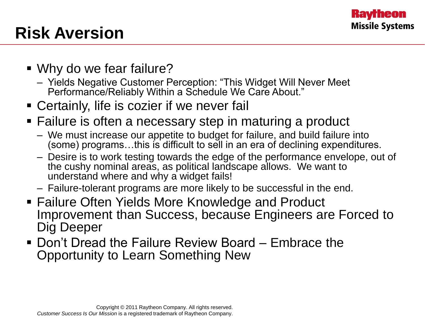

## **Risk Aversion**

- Why do we fear failure?
	- Yields Negative Customer Perception: "This Widget Will Never Meet Performance/Reliably Within a Schedule We Care About."
- Certainly, life is cozier if we never fail
- **Failure is often a necessary step in maturing a product** 
	- We must increase our appetite to budget for failure, and build failure into (some) programs…this is difficult to sell in an era of declining expenditures.
	- Desire is to work testing towards the edge of the performance envelope, out of the cushy nominal areas, as political landscape allows. We want to understand where and why a widget fails!
	- Failure-tolerant programs are more likely to be successful in the end.
- Failure Often Yields More Knowledge and Product Improvement than Success, because Engineers are Forced to Dig Deeper
- Don't Dread the Failure Review Board Embrace the Opportunity to Learn Something New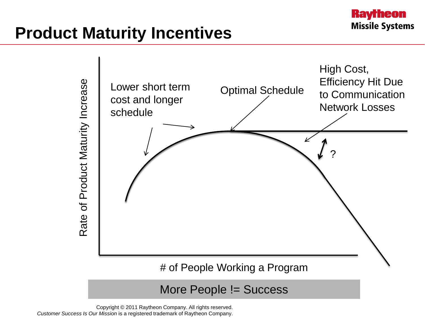## **Product Maturity Incentives**



More People != Success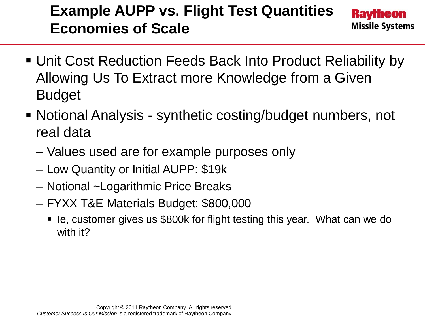### **Example AUPP vs. Flight Test Quantities Economies of Scale**

- Unit Cost Reduction Feeds Back Into Product Reliability by Allowing Us To Extract more Knowledge from a Given Budget
- Notional Analysis synthetic costing/budget numbers, not real data
	- Values used are for example purposes only
	- Low Quantity or Initial AUPP: \$19k
	- Notional ~Logarithmic Price Breaks
	- FYXX T&E Materials Budget: \$800,000
		- le, customer gives us \$800k for flight testing this year. What can we do with it?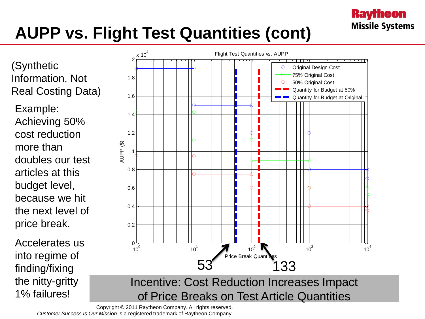# **AUPP vs. Flight Test Quantities (cont)**

(Synthetic Information, Not Real Costing Data)

Example: Achieving 50% cost reduction more than doubles our test articles at this budget level, because we hit the next level of price break.

Accelerates us into regime of finding/fixing the nitty-gritty 1% failures!



**Raytheon** 

**Missile Systems**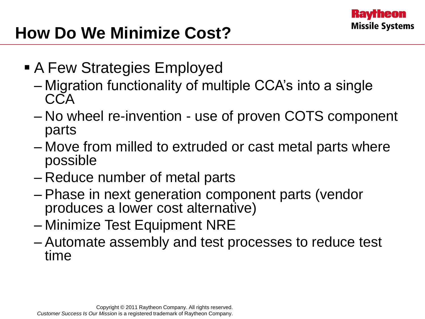

## **How Do We Minimize Cost?**

- A Few Strategies Employed
	- Migration functionality of multiple CCA's into a single **CCA**
	- No wheel re-invention use of proven COTS component parts
	- Move from milled to extruded or cast metal parts where possible
	- Reduce number of metal parts
	- Phase in next generation component parts (vendor produces a lower cost alternative)
	- Minimize Test Equipment NRE
	- Automate assembly and test processes to reduce test time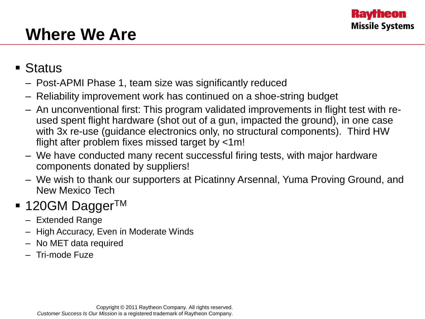## **Where We Are**

#### ■ Status

- Post-APMI Phase 1, team size was significantly reduced
- Reliability improvement work has continued on a shoe-string budget
- An unconventional first: This program validated improvements in flight test with reused spent flight hardware (shot out of a gun, impacted the ground), in one case with 3x re-use (guidance electronics only, no structural components). Third HW flight after problem fixes missed target by <1m!
- We have conducted many recent successful firing tests, with major hardware components donated by suppliers!
- We wish to thank our supporters at Picatinny Arsennal, Yuma Proving Ground, and New Mexico Tech

#### $\blacksquare$  120GM Dagger<sup>TM</sup>

- Extended Range
- High Accuracy, Even in Moderate Winds
- No MET data required
- Tri-mode Fuze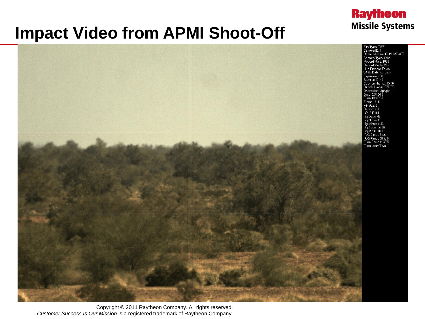### **Impact Video from APMI Shoot-Off**



**Raytheon** 

**Missile Systems**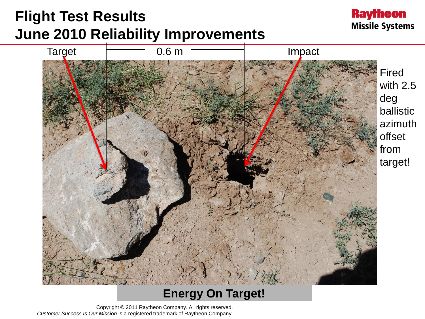### **Flight Test Results June 2010 Reliability Improvements**





#### **Energy On Target!**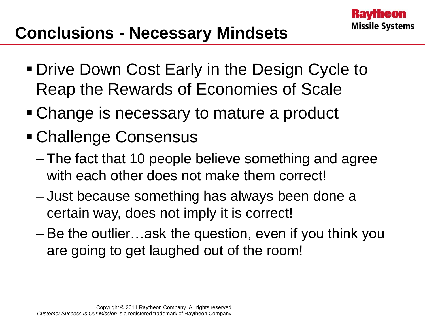- **Drive Down Cost Early in the Design Cycle to** Reap the Rewards of Economies of Scale
- Change is necessary to mature a product
- Challenge Consensus
	- The fact that 10 people believe something and agree with each other does not make them correct!
	- Just because something has always been done a certain way, does not imply it is correct!
	- Be the outlier…ask the question, even if you think you are going to get laughed out of the room!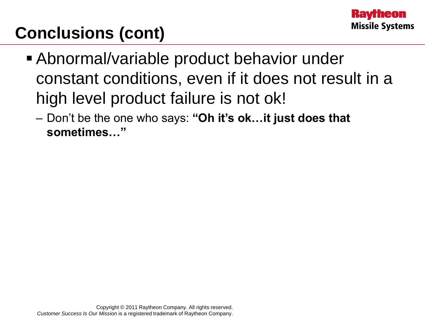## **Conclusions (cont)**

- Abnormal/variable product behavior under constant conditions, even if it does not result in a high level product failure is not ok!
	- Don't be the one who says: **"Oh it's ok…it just does that sometimes…"**